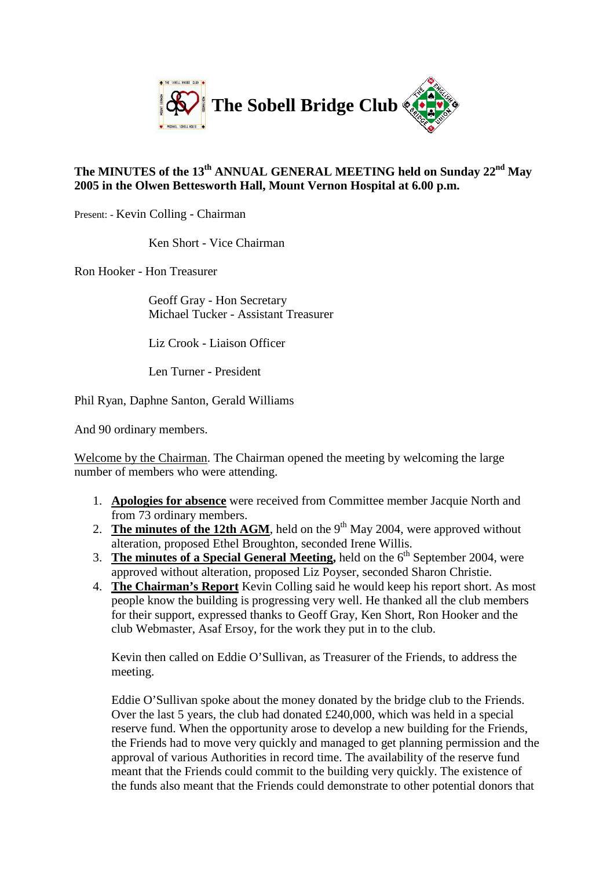

## **The MINUTES of the 13th ANNUAL GENERAL MEETING held on Sunday 22nd May 2005 in the Olwen Bettesworth Hall, Mount Vernon Hospital at 6.00 p.m.**

Present: - Kevin Colling - Chairman

Ken Short - Vice Chairman

Ron Hooker - Hon Treasurer

Geoff Gray - Hon Secretary Michael Tucker - Assistant Treasurer

Liz Crook - Liaison Officer

Len Turner - President

Phil Ryan, Daphne Santon, Gerald Williams

And 90 ordinary members.

Welcome by the Chairman. The Chairman opened the meeting by welcoming the large number of members who were attending.

- 1. **Apologies for absence** were received from Committee member Jacquie North and from 73 ordinary members.
- 2. **The minutes of the 12th AGM**, held on the  $9<sup>th</sup>$  May 2004, were approved without alteration, proposed Ethel Broughton, seconded Irene Willis.
- 3. **The minutes of a Special General Meeting,** held on the 6<sup>th</sup> September 2004, were approved without alteration, proposed Liz Poyser, seconded Sharon Christie.
- 4. **The Chairman's Report** Kevin Colling said he would keep his report short. As most people know the building is progressing very well. He thanked all the club members for their support, expressed thanks to Geoff Gray, Ken Short, Ron Hooker and the club Webmaster, Asaf Ersoy, for the work they put in to the club.

Kevin then called on Eddie O'Sullivan, as Treasurer of the Friends, to address the meeting.

Eddie O'Sullivan spoke about the money donated by the bridge club to the Friends. Over the last 5 years, the club had donated £240,000, which was held in a special reserve fund. When the opportunity arose to develop a new building for the Friends, the Friends had to move very quickly and managed to get planning permission and the approval of various Authorities in record time. The availability of the reserve fund meant that the Friends could commit to the building very quickly. The existence of the funds also meant that the Friends could demonstrate to other potential donors that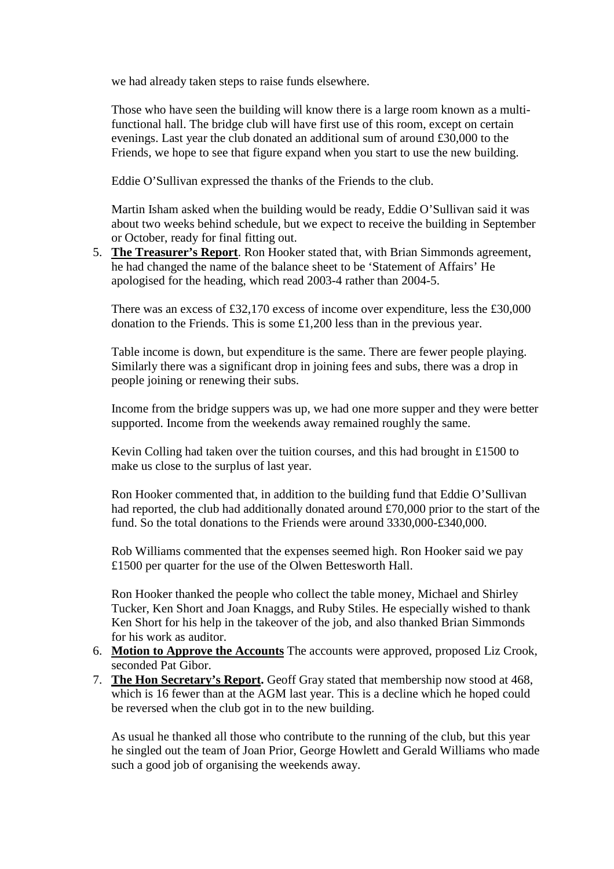we had already taken steps to raise funds elsewhere.

Those who have seen the building will know there is a large room known as a multifunctional hall. The bridge club will have first use of this room, except on certain evenings. Last year the club donated an additional sum of around £30,000 to the Friends, we hope to see that figure expand when you start to use the new building.

Eddie O'Sullivan expressed the thanks of the Friends to the club.

Martin Isham asked when the building would be ready, Eddie O'Sullivan said it was about two weeks behind schedule, but we expect to receive the building in September or October, ready for final fitting out.

5. **The Treasurer's Report**. Ron Hooker stated that, with Brian Simmonds agreement, he had changed the name of the balance sheet to be 'Statement of Affairs' He apologised for the heading, which read 2003-4 rather than 2004-5.

There was an excess of £32,170 excess of income over expenditure, less the £30,000 donation to the Friends. This is some £1,200 less than in the previous year.

Table income is down, but expenditure is the same. There are fewer people playing. Similarly there was a significant drop in joining fees and subs, there was a drop in people joining or renewing their subs.

Income from the bridge suppers was up, we had one more supper and they were better supported. Income from the weekends away remained roughly the same.

Kevin Colling had taken over the tuition courses, and this had brought in £1500 to make us close to the surplus of last year.

Ron Hooker commented that, in addition to the building fund that Eddie O'Sullivan had reported, the club had additionally donated around £70,000 prior to the start of the fund. So the total donations to the Friends were around 3330,000-£340,000.

Rob Williams commented that the expenses seemed high. Ron Hooker said we pay £1500 per quarter for the use of the Olwen Bettesworth Hall.

Ron Hooker thanked the people who collect the table money, Michael and Shirley Tucker, Ken Short and Joan Knaggs, and Ruby Stiles. He especially wished to thank Ken Short for his help in the takeover of the job, and also thanked Brian Simmonds for his work as auditor.

- 6. **Motion to Approve the Accounts** The accounts were approved, proposed Liz Crook, seconded Pat Gibor.
- 7. **The Hon Secretary's Report.** Geoff Gray stated that membership now stood at 468, which is 16 fewer than at the AGM last year. This is a decline which he hoped could be reversed when the club got in to the new building.

As usual he thanked all those who contribute to the running of the club, but this year he singled out the team of Joan Prior, George Howlett and Gerald Williams who made such a good job of organising the weekends away.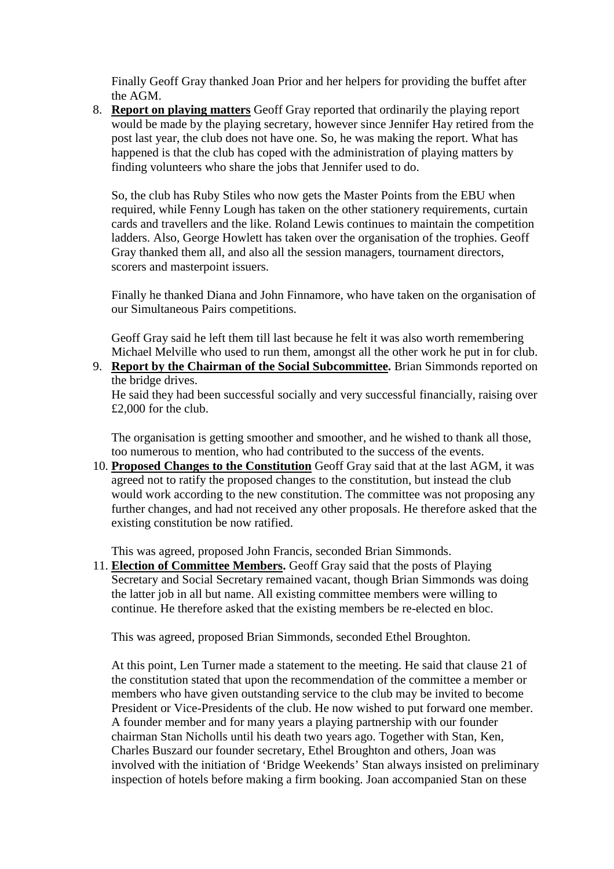Finally Geoff Gray thanked Joan Prior and her helpers for providing the buffet after the AGM.

8. **Report on playing matters** Geoff Gray reported that ordinarily the playing report would be made by the playing secretary, however since Jennifer Hay retired from the post last year, the club does not have one. So, he was making the report. What has happened is that the club has coped with the administration of playing matters by finding volunteers who share the jobs that Jennifer used to do.

So, the club has Ruby Stiles who now gets the Master Points from the EBU when required, while Fenny Lough has taken on the other stationery requirements, curtain cards and travellers and the like. Roland Lewis continues to maintain the competition ladders. Also, George Howlett has taken over the organisation of the trophies. Geoff Gray thanked them all, and also all the session managers, tournament directors, scorers and masterpoint issuers.

Finally he thanked Diana and John Finnamore, who have taken on the organisation of our Simultaneous Pairs competitions.

Geoff Gray said he left them till last because he felt it was also worth remembering Michael Melville who used to run them, amongst all the other work he put in for club.

9. **Report by the Chairman of the Social Subcommittee.** Brian Simmonds reported on the bridge drives.

He said they had been successful socially and very successful financially, raising over £2,000 for the club.

The organisation is getting smoother and smoother, and he wished to thank all those, too numerous to mention, who had contributed to the success of the events.

10. **Proposed Changes to the Constitution** Geoff Gray said that at the last AGM, it was agreed not to ratify the proposed changes to the constitution, but instead the club would work according to the new constitution. The committee was not proposing any further changes, and had not received any other proposals. He therefore asked that the existing constitution be now ratified.

This was agreed, proposed John Francis, seconded Brian Simmonds.

11. **Election of Committee Members.** Geoff Gray said that the posts of Playing Secretary and Social Secretary remained vacant, though Brian Simmonds was doing the latter job in all but name. All existing committee members were willing to continue. He therefore asked that the existing members be re-elected en bloc.

This was agreed, proposed Brian Simmonds, seconded Ethel Broughton.

At this point, Len Turner made a statement to the meeting. He said that clause 21 of the constitution stated that upon the recommendation of the committee a member or members who have given outstanding service to the club may be invited to become President or Vice-Presidents of the club. He now wished to put forward one member. A founder member and for many years a playing partnership with our founder chairman Stan Nicholls until his death two years ago. Together with Stan, Ken, Charles Buszard our founder secretary, Ethel Broughton and others, Joan was involved with the initiation of 'Bridge Weekends' Stan always insisted on preliminary inspection of hotels before making a firm booking. Joan accompanied Stan on these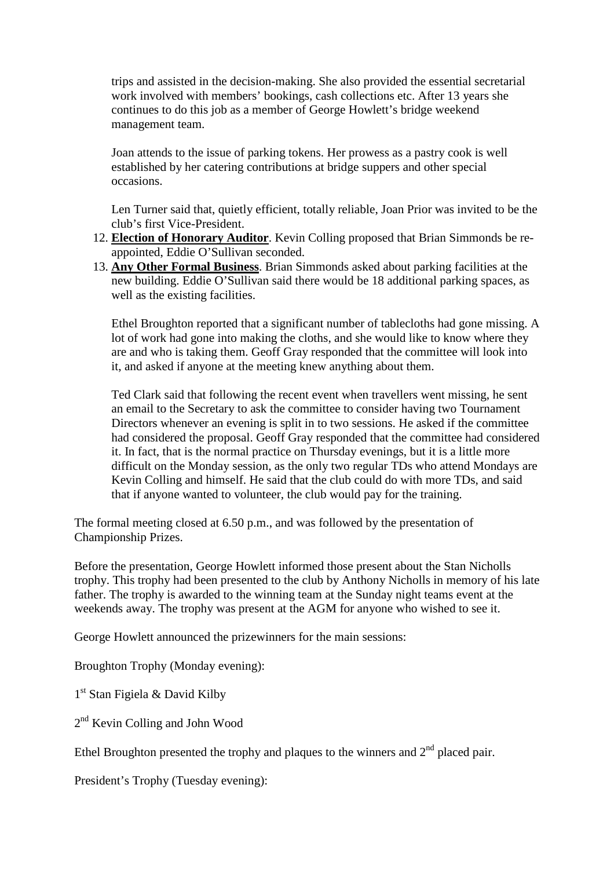trips and assisted in the decision-making. She also provided the essential secretarial work involved with members' bookings, cash collections etc. After 13 years she continues to do this job as a member of George Howlett's bridge weekend management team.

Joan attends to the issue of parking tokens. Her prowess as a pastry cook is well established by her catering contributions at bridge suppers and other special occasions.

Len Turner said that, quietly efficient, totally reliable, Joan Prior was invited to be the club's first Vice-President.

- 12. **Election of Honorary Auditor**. Kevin Colling proposed that Brian Simmonds be reappointed, Eddie O'Sullivan seconded.
- 13. **Any Other Formal Business**. Brian Simmonds asked about parking facilities at the new building. Eddie O'Sullivan said there would be 18 additional parking spaces, as well as the existing facilities.

Ethel Broughton reported that a significant number of tablecloths had gone missing. A lot of work had gone into making the cloths, and she would like to know where they are and who is taking them. Geoff Gray responded that the committee will look into it, and asked if anyone at the meeting knew anything about them.

Ted Clark said that following the recent event when travellers went missing, he sent an email to the Secretary to ask the committee to consider having two Tournament Directors whenever an evening is split in to two sessions. He asked if the committee had considered the proposal. Geoff Gray responded that the committee had considered it. In fact, that is the normal practice on Thursday evenings, but it is a little more difficult on the Monday session, as the only two regular TDs who attend Mondays are Kevin Colling and himself. He said that the club could do with more TDs, and said that if anyone wanted to volunteer, the club would pay for the training.

The formal meeting closed at 6.50 p.m., and was followed by the presentation of Championship Prizes.

Before the presentation, George Howlett informed those present about the Stan Nicholls trophy. This trophy had been presented to the club by Anthony Nicholls in memory of his late father. The trophy is awarded to the winning team at the Sunday night teams event at the weekends away. The trophy was present at the AGM for anyone who wished to see it.

George Howlett announced the prizewinners for the main sessions:

Broughton Trophy (Monday evening):

1<sup>st</sup> Stan Figiela & David Kilby

2<sup>nd</sup> Kevin Colling and John Wood

Ethel Broughton presented the trophy and plaques to the winners and  $2<sup>nd</sup>$  placed pair.

President's Trophy (Tuesday evening):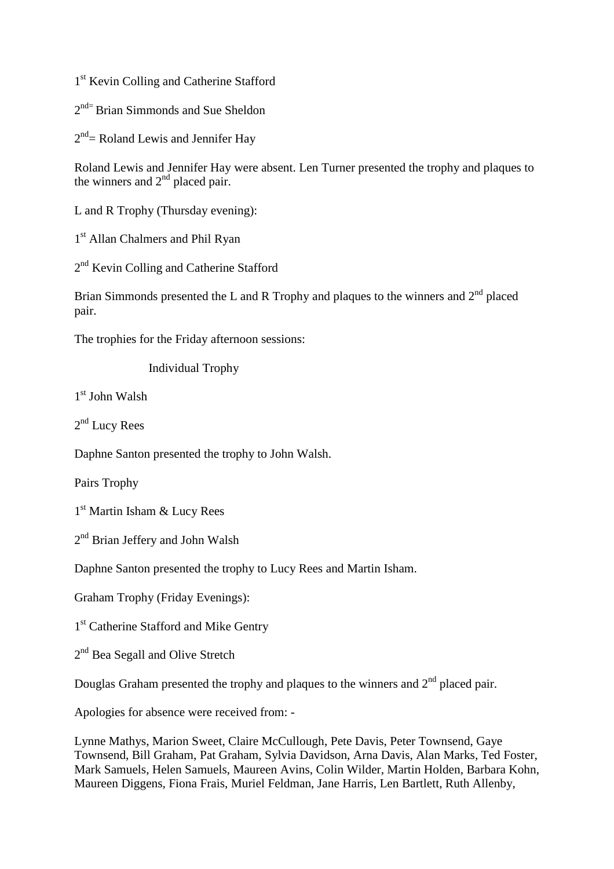1<sup>st</sup> Kevin Colling and Catherine Stafford

2<sup>nd=</sup> Brian Simmonds and Sue Sheldon

 $2<sup>nd</sup>$  Roland Lewis and Jennifer Hay

Roland Lewis and Jennifer Hay were absent. Len Turner presented the trophy and plaques to the winners and  $2<sup>nd</sup>$  placed pair.

L and R Trophy (Thursday evening):

1<sup>st</sup> Allan Chalmers and Phil Ryan

2<sup>nd</sup> Kevin Colling and Catherine Stafford

Brian Simmonds presented the L and R Trophy and plaques to the winners and  $2<sup>nd</sup>$  placed pair.

The trophies for the Friday afternoon sessions:

Individual Trophy

1 st John Walsh

2<sup>nd</sup> Lucy Rees

Daphne Santon presented the trophy to John Walsh.

Pairs Trophy

1 st Martin Isham & Lucy Rees

2<sup>nd</sup> Brian Jeffery and John Walsh

Daphne Santon presented the trophy to Lucy Rees and Martin Isham.

Graham Trophy (Friday Evenings):

1<sup>st</sup> Catherine Stafford and Mike Gentry

2<sup>nd</sup> Bea Segall and Olive Stretch

Douglas Graham presented the trophy and plaques to the winners and  $2<sup>nd</sup>$  placed pair.

Apologies for absence were received from: -

Lynne Mathys, Marion Sweet, Claire McCullough, Pete Davis, Peter Townsend, Gaye Townsend, Bill Graham, Pat Graham, Sylvia Davidson, Arna Davis, Alan Marks, Ted Foster, Mark Samuels, Helen Samuels, Maureen Avins, Colin Wilder, Martin Holden, Barbara Kohn, Maureen Diggens, Fiona Frais, Muriel Feldman, Jane Harris, Len Bartlett, Ruth Allenby,